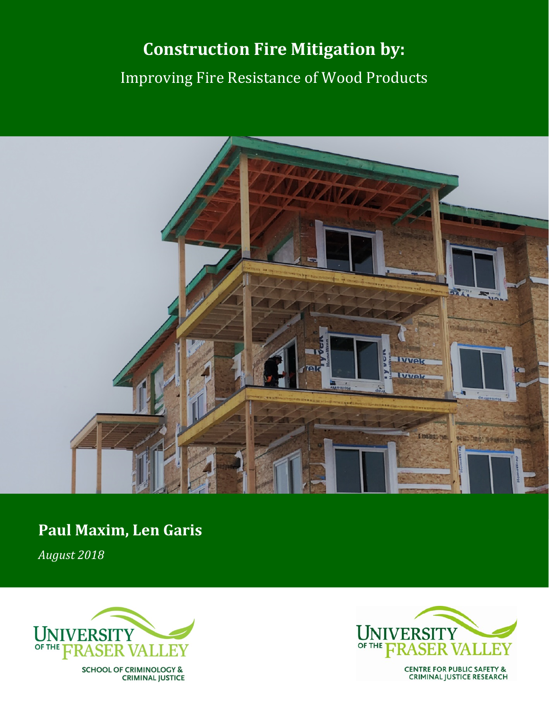# **Construction Fire Mitigation by:** Improving Fire Resistance of Wood Products



## **Paul Maxim, Len Garis**

*August 2018*



**SCHOOL OF CRIMINOLOGY & CRIMINAL JUSTICE** 



**CENTRE FOR PUBLIC SAFETY & CRIMINAL JUSTICE RESEARCH**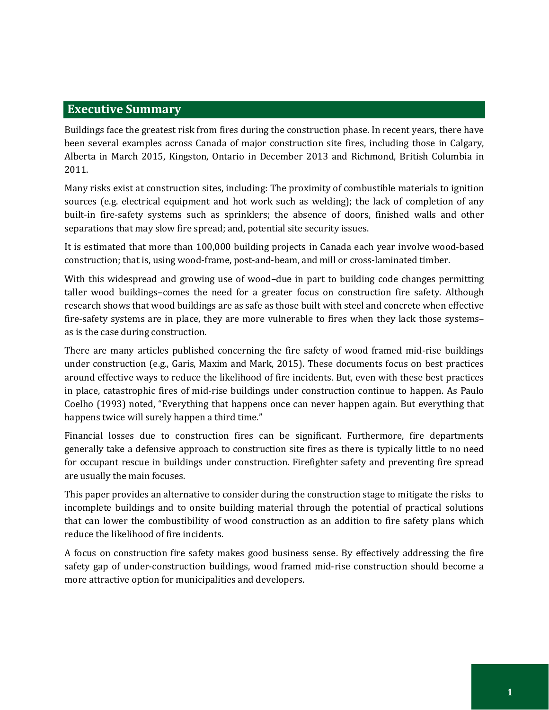## **Executive Summary**

Buildings face the greatest risk from fires during the construction phase. In recent years, there have been several examples across Canada of major construction site fires, including those in Calgary, Alberta in March 2015, Kingston, Ontario in December 2013 and Richmond, British Columbia in 2011.

Many risks exist at construction sites, including: The proximity of combustible materials to ignition sources (e.g. electrical equipment and hot work such as welding); the lack of completion of any built-in fire-safety systems such as sprinklers; the absence of doors, finished walls and other separations that may slow fire spread; and, potential site security issues.

It is estimated that more than 100,000 building projects in Canada each year involve wood-based construction; that is, using wood-frame, post-and-beam, and mill or cross-laminated timber.

With this widespread and growing use of wood–due in part to building code changes permitting taller wood buildings–comes the need for a greater focus on construction fire safety. Although research shows that wood buildings are as safe as those built with steel and concrete when effective fire-safety systems are in place, they are more vulnerable to fires when they lack those systems– as is the case during construction.

There are many articles published concerning the fire safety of wood framed mid-rise buildings under construction (e.g., Garis, Maxim and Mark, 2015). These documents focus on best practices around effective ways to reduce the likelihood of fire incidents. But, even with these best practices in place, catastrophic fires of mid-rise buildings under construction continue to happen. As Paulo Coelho (1993) noted, "Everything that happens once can never happen again. But everything that happens twice will surely happen a third time."

Financial losses due to construction fires can be significant. Furthermore, fire departments generally take a defensive approach to construction site fires as there is typically little to no need for occupant rescue in buildings under construction. Firefighter safety and preventing fire spread are usually the main focuses.

This paper provides an alternative to consider during the construction stage to mitigate the risks to incomplete buildings and to onsite building material through the potential of practical solutions that can lower the combustibility of wood construction as an addition to fire safety plans which reduce the likelihood of fire incidents.

A focus on construction fire safety makes good business sense. By effectively addressing the fire safety gap of under-construction buildings, wood framed mid-rise construction should become a more attractive option for municipalities and developers.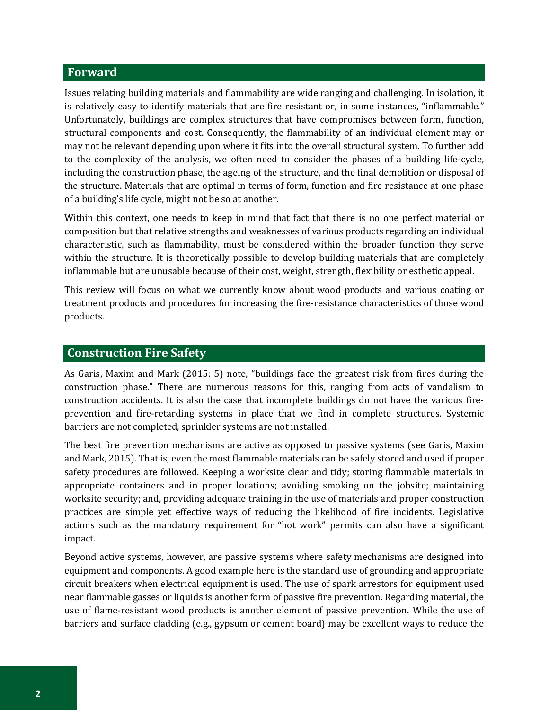## **Forward**

Issues relating building materials and flammability are wide ranging and challenging. In isolation, it is relatively easy to identify materials that are fire resistant or, in some instances, "inflammable." Unfortunately, buildings are complex structures that have compromises between form, function, structural components and cost. Consequently, the flammability of an individual element may or may not be relevant depending upon where it fits into the overall structural system. To further add to the complexity of the analysis, we often need to consider the phases of a building life-cycle, including the construction phase, the ageing of the structure, and the final demolition or disposal of the structure. Materials that are optimal in terms of form, function and fire resistance at one phase of a building's life cycle, might not be so at another.

Within this context, one needs to keep in mind that fact that there is no one perfect material or composition but that relative strengths and weaknesses of various products regarding an individual characteristic, such as flammability, must be considered within the broader function they serve within the structure. It is theoretically possible to develop building materials that are completely inflammable but are unusable because of their cost, weight, strength, flexibility or esthetic appeal.

This review will focus on what we currently know about wood products and various coating or treatment products and procedures for increasing the fire-resistance characteristics of those wood products.

#### **Construction Fire Safety**

As Garis, Maxim and Mark (2015: 5) note, "buildings face the greatest risk from fires during the construction phase." There are numerous reasons for this, ranging from acts of vandalism to construction accidents. It is also the case that incomplete buildings do not have the various fireprevention and fire-retarding systems in place that we find in complete structures. Systemic barriers are not completed, sprinkler systems are not installed.

The best fire prevention mechanisms are active as opposed to passive systems (see Garis, Maxim and Mark, 2015). That is, even the most flammable materials can be safely stored and used if proper safety procedures are followed. Keeping a worksite clear and tidy; storing flammable materials in appropriate containers and in proper locations; avoiding smoking on the jobsite; maintaining worksite security; and, providing adequate training in the use of materials and proper construction practices are simple yet effective ways of reducing the likelihood of fire incidents. Legislative actions such as the mandatory requirement for "hot work" permits can also have a significant impact.

Beyond active systems, however, are passive systems where safety mechanisms are designed into equipment and components. A good example here is the standard use of grounding and appropriate circuit breakers when electrical equipment is used. The use of spark arrestors for equipment used near flammable gasses or liquids is another form of passive fire prevention. Regarding material, the use of flame-resistant wood products is another element of passive prevention. While the use of barriers and surface cladding (e.g., gypsum or cement board) may be excellent ways to reduce the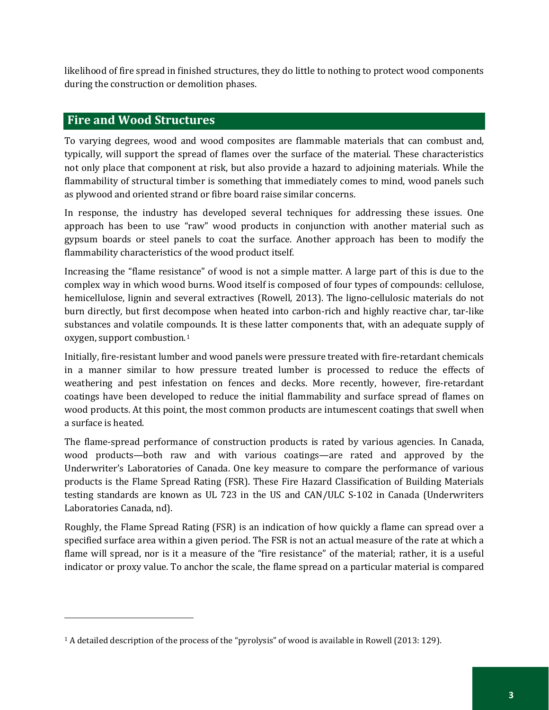likelihood of fire spread in finished structures, they do little to nothing to protect wood components during the construction or demolition phases.

## **Fire and Wood Structures**

j

To varying degrees, wood and wood composites are flammable materials that can combust and, typically, will support the spread of flames over the surface of the material. These characteristics not only place that component at risk, but also provide a hazard to adjoining materials. While the flammability of structural timber is something that immediately comes to mind, wood panels such as plywood and oriented strand or fibre board raise similar concerns.

In response, the industry has developed several techniques for addressing these issues. One approach has been to use "raw" wood products in conjunction with another material such as gypsum boards or steel panels to coat the surface. Another approach has been to modify the flammability characteristics of the wood product itself.

Increasing the "flame resistance" of wood is not a simple matter. A large part of this is due to the complex way in which wood burns. Wood itself is composed of four types of compounds: cellulose, hemicellulose, lignin and several extractives (Rowell, 2013). The ligno-cellulosic materials do not burn directly, but first decompose when heated into carbon-rich and highly reactive char, tar-like substances and volatile compounds. It is these latter components that, with an adequate supply of oxygen, support combustion.[1](#page-4-0)

Initially, fire-resistant lumber and wood panels were pressure treated with fire-retardant chemicals in a manner similar to how pressure treated lumber is processed to reduce the effects of weathering and pest infestation on fences and decks. More recently, however, fire-retardant coatings have been developed to reduce the initial flammability and surface spread of flames on wood products. At this point, the most common products are intumescent coatings that swell when a surface is heated.

The flame-spread performance of construction products is rated by various agencies. In Canada, wood products—both raw and with various coatings—are rated and approved by the Underwriter's Laboratories of Canada. One key measure to compare the performance of various products is the Flame Spread Rating (FSR). These Fire Hazard Classification of Building Materials testing standards are known as UL 723 in the US and CAN/ULC S-102 in Canada (Underwriters Laboratories Canada, nd).

Roughly, the Flame Spread Rating (FSR) is an indication of how quickly a flame can spread over a specified surface area within a given period. The FSR is not an actual measure of the rate at which a flame will spread, nor is it a measure of the "fire resistance" of the material; rather, it is a useful indicator or proxy value. To anchor the scale, the flame spread on a particular material is compared

<span id="page-4-0"></span><sup>1</sup> A detailed description of the process of the "pyrolysis" of wood is available in Rowell (2013: 129).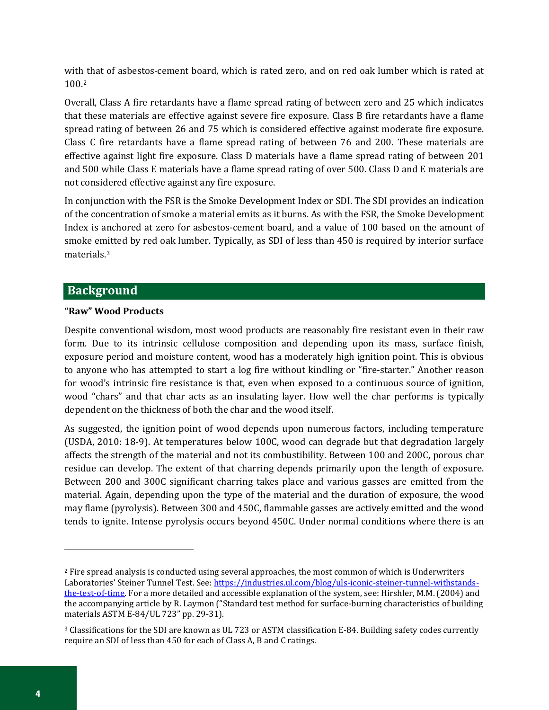wit[h t](#page-5-0)hat of asbestos-cement board, which is rated zero, and on red oak lumber which is rated at 100.2

Overall, Class A fire retardants have a flame spread rating of between zero and 25 which indicates that these materials are effective against severe fire exposure. Class B fire retardants have a flame spread rating of between 26 and 75 which is considered effective against moderate fire exposure. Class C fire retardants have a flame spread rating of between 76 and 200. These materials are effective against light fire exposure. Class D materials have a flame spread rating of between 201 and 500 while Class E materials have a flame spread rating of over 500. Class D and E materials are not considered effective against any fire exposure.

In conjunction with the FSR is the Smoke Development Index or SDI. The SDI provides an indication of the concentration of smoke a material emits as it burns. As with the FSR, the Smoke Development Index is anchored at zero for asbestos-cement board, and a value of 100 based on the amount of smoke e[mi](#page-5-1)tted by red oak lumber. Typically, as SDI of less than 450 is required by interior surface materials.3

## **Background**

#### **"Raw" Wood Products**

Despite conventional wisdom, most wood products are reasonably fire resistant even in their raw form. Due to its intrinsic cellulose composition and depending upon its mass, surface finish, exposure period and moisture content, wood has a moderately high ignition point. This is obvious to anyone who has attempted to start a log fire without kindling or "fire-starter." Another reason for wood's intrinsic fire resistance is that, even when exposed to a continuous source of ignition, wood "chars" and that char acts as an insulating layer. How well the char performs is typically dependent on the thickness of both the char and the wood itself.

As suggested, the ignition point of wood depends upon numerous factors, including temperature (USDA, 2010: 18-9). At temperatures below 100C, wood can degrade but that degradation largely affects the strength of the material and not its combustibility. Between 100 and 200C, porous char residue can develop. The extent of that charring depends primarily upon the length of exposure. Between 200 and 300C significant charring takes place and various gasses are emitted from the material. Again, depending upon the type of the material and the duration of exposure, the wood may flame (pyrolysis). Between 300 and 450C, flammable gasses are actively emitted and the wood tends to ignite. Intense pyrolysis occurs beyond 450C. Under normal conditions where there is an

j

<span id="page-5-0"></span><sup>2</sup> Fire spread analysis is conducted using several approaches, the most common of which is Underwriters Laboratories' Steiner Tunnel Test. See[: https://industries.ul.com/blog/uls-iconic-steiner-tunnel-withstands](https://industries.ul.com/blog/uls-iconic-steiner-tunnel-withstands-the-test-of-time)[the-test-of-time.](https://industries.ul.com/blog/uls-iconic-steiner-tunnel-withstands-the-test-of-time) For a more detailed and accessible explanation of the system, see: Hirshler, M.M. (2004) and the accompanying article by R. Laymon ("Standard test method for surface-burning characteristics of building materials ASTM E-84/UL 723" pp. 29-31).

<span id="page-5-1"></span><sup>3</sup> Classifications for the SDI are known as UL 723 or ASTM classification E-84. Building safety codes currently require an SDI of less than 450 for each of Class A, B and C ratings.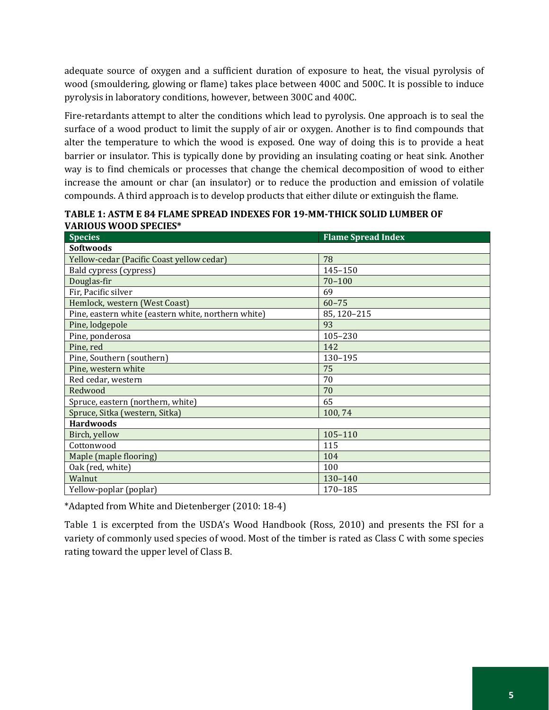adequate source of oxygen and a sufficient duration of exposure to heat, the visual pyrolysis of wood (smouldering, glowing or flame) takes place between 400C and 500C. It is possible to induce pyrolysis in laboratory conditions, however, between 300C and 400C.

Fire-retardants attempt to alter the conditions which lead to pyrolysis. One approach is to seal the surface of a wood product to limit the supply of air or oxygen. Another is to find compounds that alter the temperature to which the wood is exposed. One way of doing this is to provide a heat barrier or insulator. This is typically done by providing an insulating coating or heat sink. Another way is to find chemicals or processes that change the chemical decomposition of wood to either increase the amount or char (an insulator) or to reduce the production and emission of volatile compounds. A third approach is to develop products that either dilute or extinguish the flame.

| <b>Species</b>                                      | <b>Flame Spread Index</b> |
|-----------------------------------------------------|---------------------------|
| <b>Softwoods</b>                                    |                           |
| Yellow-cedar (Pacific Coast yellow cedar)           | 78                        |
| Bald cypress (cypress)                              | 145-150                   |
| Douglas-fir                                         | $70 - 100$                |
| Fir, Pacific silver                                 | 69                        |
| Hemlock, western (West Coast)                       | $60 - 75$                 |
| Pine, eastern white (eastern white, northern white) | 85, 120-215               |
| Pine, lodgepole                                     | 93                        |
| Pine, ponderosa                                     | 105-230                   |
| Pine, red                                           | 142                       |
| Pine, Southern (southern)                           | 130-195                   |
| Pine, western white                                 | 75                        |
| Red cedar, western                                  | 70                        |
| Redwood                                             | 70                        |
| Spruce, eastern (northern, white)                   | 65                        |
| Spruce, Sitka (western, Sitka)                      | 100,74                    |
| <b>Hardwoods</b>                                    |                           |
| Birch, yellow                                       | 105-110                   |
| Cottonwood                                          | 115                       |
| Maple (maple flooring)                              | 104                       |
| Oak (red, white)                                    | 100                       |
| Walnut                                              | 130-140                   |
| Yellow-poplar (poplar)                              | 170-185                   |

**TABLE 1: ASTM E 84 FLAME SPREAD INDEXES FOR 19-MM-THICK SOLID LUMBER OF VARIOUS WOOD SPECIES\***

\*Adapted from White and Dietenberger (2010: 18-4)

Table 1 is excerpted from the USDA's Wood Handbook (Ross, 2010) and presents the FSI for a variety of commonly used species of wood. Most of the timber is rated as Class C with some species rating toward the upper level of Class B.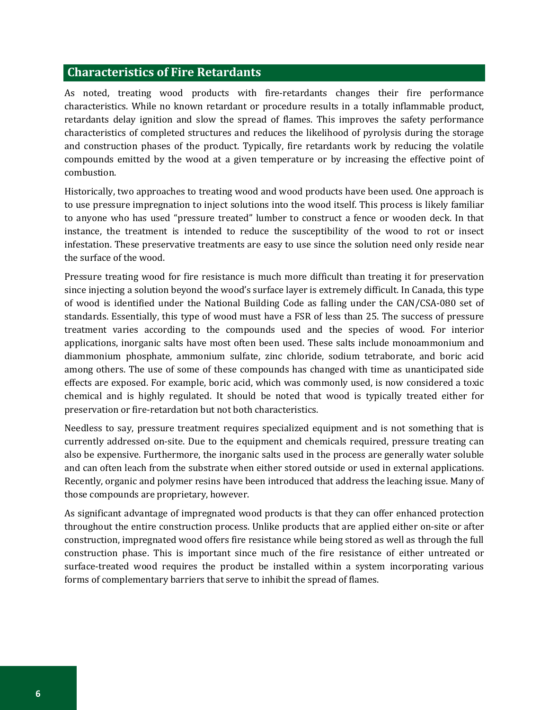#### **Characteristics of Fire Retardants**

As noted, treating wood products with fire-retardants changes their fire performance characteristics. While no known retardant or procedure results in a totally inflammable product, retardants delay ignition and slow the spread of flames. This improves the safety performance characteristics of completed structures and reduces the likelihood of pyrolysis during the storage and construction phases of the product. Typically, fire retardants work by reducing the volatile compounds emitted by the wood at a given temperature or by increasing the effective point of combustion.

Historically, two approaches to treating wood and wood products have been used. One approach is to use pressure impregnation to inject solutions into the wood itself. This process is likely familiar to anyone who has used "pressure treated" lumber to construct a fence or wooden deck. In that instance, the treatment is intended to reduce the susceptibility of the wood to rot or insect infestation. These preservative treatments are easy to use since the solution need only reside near the surface of the wood.

Pressure treating wood for fire resistance is much more difficult than treating it for preservation since injecting a solution beyond the wood's surface layer is extremely difficult. In Canada, this type of wood is identified under the National Building Code as falling under the CAN/CSA-080 set of standards. Essentially, this type of wood must have a FSR of less than 25. The success of pressure treatment varies according to the compounds used and the species of wood. For interior applications, inorganic salts have most often been used. These salts include monoammonium and diammonium phosphate, ammonium sulfate, zinc chloride, sodium tetraborate, and boric acid among others. The use of some of these compounds has changed with time as unanticipated side effects are exposed. For example, boric acid, which was commonly used, is now considered a toxic chemical and is highly regulated. It should be noted that wood is typically treated either for preservation or fire-retardation but not both characteristics.

Needless to say, pressure treatment requires specialized equipment and is not something that is currently addressed on-site. Due to the equipment and chemicals required, pressure treating can also be expensive. Furthermore, the inorganic salts used in the process are generally water soluble and can often leach from the substrate when either stored outside or used in external applications. Recently, organic and polymer resins have been introduced that address the leaching issue. Many of those compounds are proprietary, however.

As significant advantage of impregnated wood products is that they can offer enhanced protection throughout the entire construction process. Unlike products that are applied either on-site or after construction, impregnated wood offers fire resistance while being stored as well as through the full construction phase. This is important since much of the fire resistance of either untreated or surface-treated wood requires the product be installed within a system incorporating various forms of complementary barriers that serve to inhibit the spread of flames.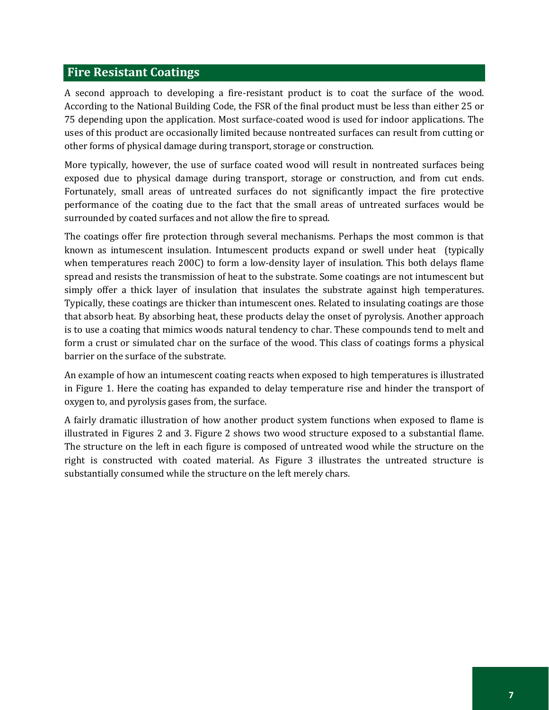## **Fire Resistant Coatings**

A second approach to developing a fire-resistant product is to coat the surface of the wood. According to the National Building Code, the FSR of the final product must be less than either 25 or 75 depending upon the application. Most surface-coated wood is used for indoor applications. The uses of this product are occasionally limited because nontreated surfaces can result from cutting or other forms of physical damage during transport, storage or construction.

More typically, however, the use of surface coated wood will result in nontreated surfaces being exposed due to physical damage during transport, storage or construction, and from cut ends. Fortunately, small areas of untreated surfaces do not significantly impact the fire protective performance of the coating due to the fact that the small areas of untreated surfaces would be surrounded by coated surfaces and not allow the fire to spread.

The coatings offer fire protection through several mechanisms. Perhaps the most common is that known as intumescent insulation. Intumescent products expand or swell under heat (typically when temperatures reach 200C) to form a low-density layer of insulation. This both delays flame spread and resists the transmission of heat to the substrate. Some coatings are not intumescent but simply offer a thick layer of insulation that insulates the substrate against high temperatures. Typically, these coatings are thicker than intumescent ones. Related to insulating coatings are those that absorb heat. By absorbing heat, these products delay the onset of pyrolysis. Another approach is to use a coating that mimics woods natural tendency to char. These compounds tend to melt and form a crust or simulated char on the surface of the wood. This class of coatings forms a physical barrier on the surface of the substrate.

An example of how an intumescent coating reacts when exposed to high temperatures is illustrated in Figure 1. Here the coating has expanded to delay temperature rise and hinder the transport of oxygen to, and pyrolysis gases from, the surface.

A fairly dramatic illustration of how another product system functions when exposed to flame is illustrated in Figures 2 and 3. Figure 2 shows two wood structure exposed to a substantial flame. The structure on the left in each figure is composed of untreated wood while the structure on the right is constructed with coated material. As Figure 3 illustrates the untreated structure is substantially consumed while the structure on the left merely chars.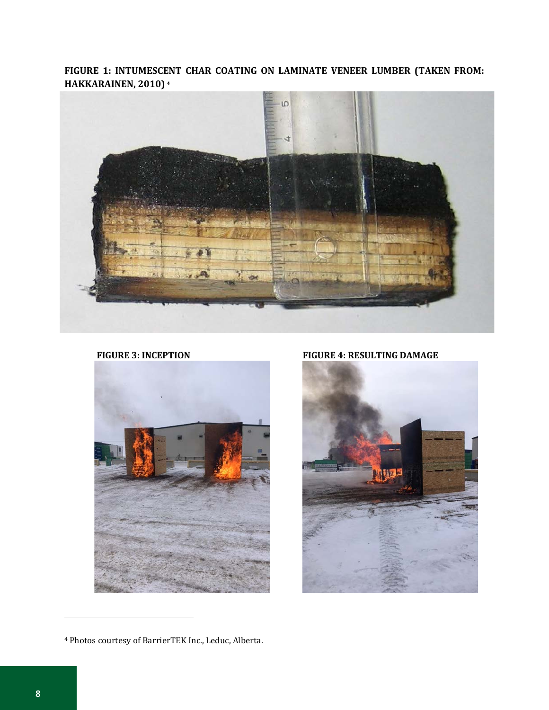**FIGURE 1: INTUMESCENT CHAR COATING ON LAMINATE VENEER LUMBER (TAKEN FROM: HAKKARAINEN, 2010) [4](#page-9-0)**



FIGURE 3: INCEPTION **FIGURE 4: RESULTING DAMAGE** 



**ME** 

j

<span id="page-9-0"></span><sup>4</sup> Photos courtesy of BarrierTEK Inc., Leduc, Alberta.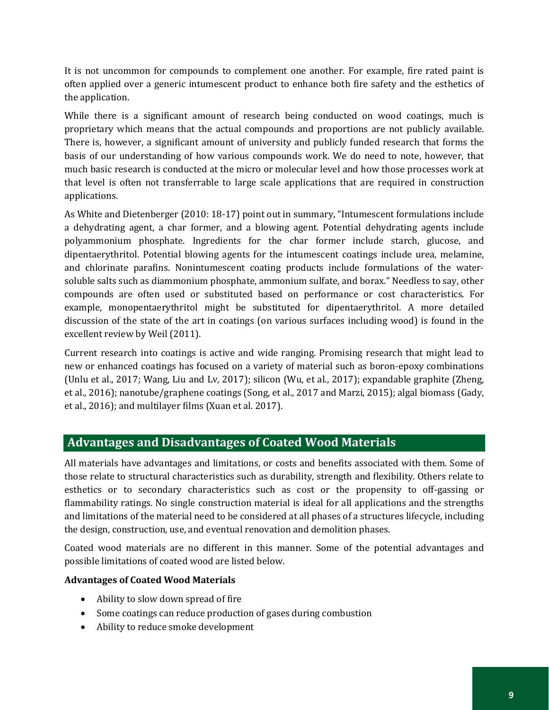It is not uncommon for compounds to complement one another. For example, fire rated paint is often applied over a generic intumescent product to enhance both fire safety and the esthetics of the application.

While there is a significant amount of research being conducted on wood coatings, much is proprietary which means that the actual compounds and proportions are not publicly available. There is, however, a significant amount of university and publicly funded research that forms the basis of our understanding of how various compounds work. We do need to note, however, that much basic research is conducted at the micro or molecular level and how those processes work at that level is often not transferrable to large scale applications that are required in construction applications.

As White and Dietenberger (2010: 18-17) point out in summary, "Intumescent formulations include a dehydrating agent, a char former, and a blowing agent. Potential dehydrating agents include polyammonium phosphate. Ingredients for the char former include starch, glucose, and dipentaerythritol. Potential blowing agents for the intumescent coatings include urea, melamine, and chlorinate parafins. Nonintumescent coating products include formulations of the watersoluble salts such as diammonium phosphate, ammonium sulfate, and borax." Needless to say, other compounds are often used or substituted based on performance or cost characteristics. For example, monopentaerythritol might be substituted for dipentaerythritol. A more detailed discussion of the state of the art in coatings (on various surfaces including wood) is found in the excellent review by Weil (2011).

Current research into coatings is active and wide ranging. Promising research that might lead to new or enhanced coatings has focused on a variety of material such as boron-epoxy combinations (Unlu et al., 2017; Wang, Liu and Lv, 2017); silicon (Wu, et al., 2017); expandable graphite (Zheng, et al., 2016); nanotube/graphene coatings (Song, et al., 2017 and Marzi, 2015); algal biomass (Gady, et al., 2016); and multilayer films (Xuan et al. 2017).

## **Advantages and Disadvantages of Coated Wood Materials**

All materials have advantages and limitations, or costs and benefits associated with them. Some of those relate to structural characteristics such as durability, strength and flexibility. Others relate to esthetics or to secondary characteristics such as cost or the propensity to off-gassing or flammability ratings. No single construction material is ideal for all applications and the strengths and limitations of the material need to be considered at all phases of a structures lifecycle, including the design, construction, use, and eventual renovation and demolition phases.

Coated wood materials are no different in this manner. Some of the potential advantages and possible limitations of coated wood are listed below.

## **Advantages of Coated Wood Materials**

- Ability to slow down spread of fire
- Some coatings can reduce production of gases during combustion
- Ability to reduce smoke development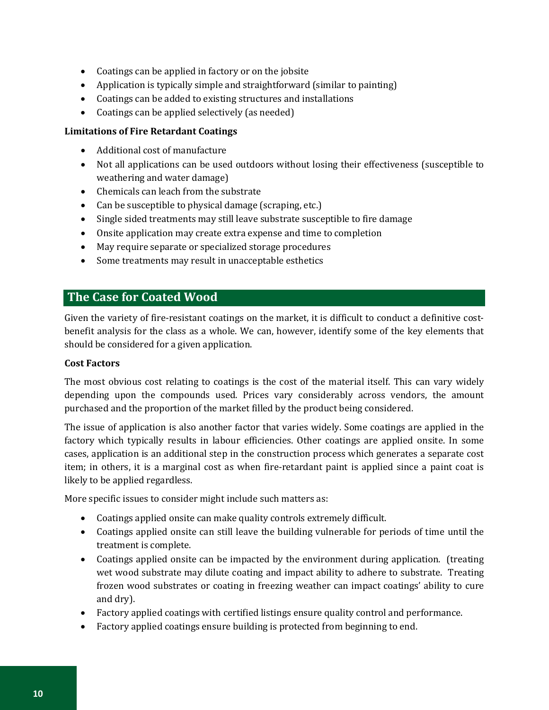- Coatings can be applied in factory or on the jobsite
- Application is typically simple and straightforward (similar to painting)
- Coatings can be added to existing structures and installations
- Coatings can be applied selectively (as needed)

#### **Limitations of Fire Retardant Coatings**

- Additional cost of manufacture
- Not all applications can be used outdoors without losing their effectiveness (susceptible to weathering and water damage)
- Chemicals can leach from the substrate
- Can be susceptible to physical damage (scraping, etc.)
- Single sided treatments may still leave substrate susceptible to fire damage
- Onsite application may create extra expense and time to completion
- May require separate or specialized storage procedures
- Some treatments may result in unacceptable esthetics

## **The Case for Coated Wood**

Given the variety of fire-resistant coatings on the market, it is difficult to conduct a definitive costbenefit analysis for the class as a whole. We can, however, identify some of the key elements that should be considered for a given application.

#### **Cost Factors**

The most obvious cost relating to coatings is the cost of the material itself. This can vary widely depending upon the compounds used. Prices vary considerably across vendors, the amount purchased and the proportion of the market filled by the product being considered.

The issue of application is also another factor that varies widely. Some coatings are applied in the factory which typically results in labour efficiencies. Other coatings are applied onsite. In some cases, application is an additional step in the construction process which generates a separate cost item; in others, it is a marginal cost as when fire-retardant paint is applied since a paint coat is likely to be applied regardless.

More specific issues to consider might include such matters as:

- Coatings applied onsite can make quality controls extremely difficult.
- Coatings applied onsite can still leave the building vulnerable for periods of time until the treatment is complete.
- Coatings applied onsite can be impacted by the environment during application. (treating wet wood substrate may dilute coating and impact ability to adhere to substrate. Treating frozen wood substrates or coating in freezing weather can impact coatings' ability to cure and dry).
- Factory applied coatings with certified listings ensure quality control and performance.
- Factory applied coatings ensure building is protected from beginning to end.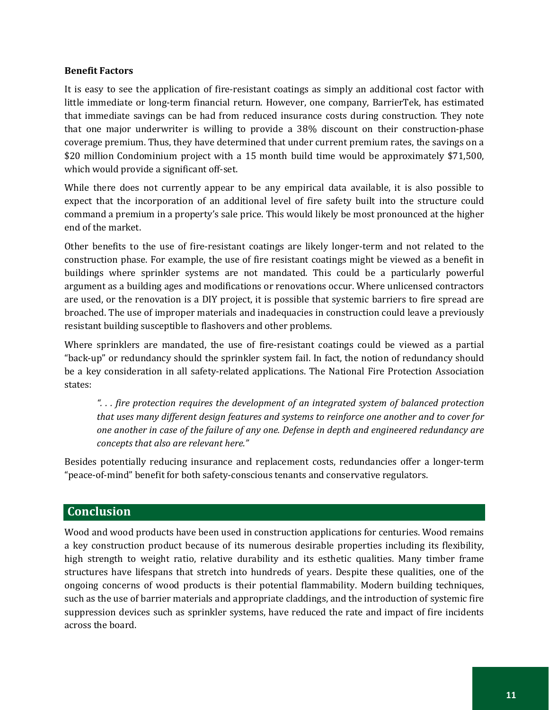#### **Benefit Factors**

It is easy to see the application of fire-resistant coatings as simply an additional cost factor with little immediate or long-term financial return. However, one company, BarrierTek, has estimated that immediate savings can be had from reduced insurance costs during construction. They note that one major underwriter is willing to provide a 38% discount on their construction-phase coverage premium. Thus, they have determined that under current premium rates, the savings on a \$20 million Condominium project with a 15 month build time would be approximately \$71,500, which would provide a significant off-set.

While there does not currently appear to be any empirical data available, it is also possible to expect that the incorporation of an additional level of fire safety built into the structure could command a premium in a property's sale price. This would likely be most pronounced at the higher end of the market.

Other benefits to the use of fire-resistant coatings are likely longer-term and not related to the construction phase. For example, the use of fire resistant coatings might be viewed as a benefit in buildings where sprinkler systems are not mandated. This could be a particularly powerful argument as a building ages and modifications or renovations occur. Where unlicensed contractors are used, or the renovation is a DIY project, it is possible that systemic barriers to fire spread are broached. The use of improper materials and inadequacies in construction could leave a previously resistant building susceptible to flashovers and other problems.

Where sprinklers are mandated, the use of fire-resistant coatings could be viewed as a partial "back-up" or redundancy should the sprinkler system fail. In fact, the notion of redundancy should be a key consideration in all safety-related applications. The National Fire Protection Association states:

*". . . fire protection requires the development of an integrated system of balanced protection that uses many different design features and systems to reinforce one another and to cover for one another in case of the failure of any one. Defense in depth and engineered redundancy are concepts that also are relevant here."*

Besides potentially reducing insurance and replacement costs, redundancies offer a longer-term "peace-of-mind" benefit for both safety-conscious tenants and conservative regulators.

## **Conclusion**

Wood and wood products have been used in construction applications for centuries. Wood remains a key construction product because of its numerous desirable properties including its flexibility, high strength to weight ratio, relative durability and its esthetic qualities. Many timber frame structures have lifespans that stretch into hundreds of years. Despite these qualities, one of the ongoing concerns of wood products is their potential flammability. Modern building techniques, such as the use of barrier materials and appropriate claddings, and the introduction of systemic fire suppression devices such as sprinkler systems, have reduced the rate and impact of fire incidents across the board.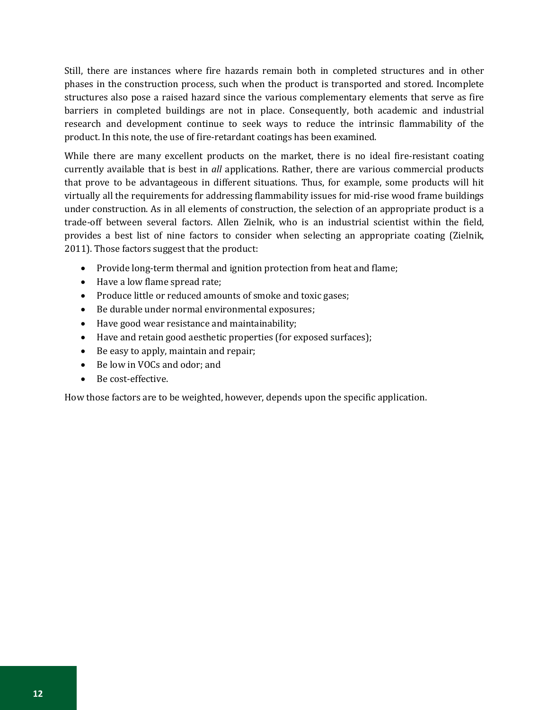Still, there are instances where fire hazards remain both in completed structures and in other phases in the construction process, such when the product is transported and stored. Incomplete structures also pose a raised hazard since the various complementary elements that serve as fire barriers in completed buildings are not in place. Consequently, both academic and industrial research and development continue to seek ways to reduce the intrinsic flammability of the product. In this note, the use of fire-retardant coatings has been examined.

While there are many excellent products on the market, there is no ideal fire-resistant coating currently available that is best in *all* applications. Rather, there are various commercial products that prove to be advantageous in different situations. Thus, for example, some products will hit virtually all the requirements for addressing flammability issues for mid-rise wood frame buildings under construction. As in all elements of construction, the selection of an appropriate product is a trade-off between several factors. Allen Zielnik, who is an industrial scientist within the field, provides a best list of nine factors to consider when selecting an appropriate coating (Zielnik, 2011). Those factors suggest that the product:

- Provide long-term thermal and ignition protection from heat and flame;
- Have a low flame spread rate;
- Produce little or reduced amounts of smoke and toxic gases;
- Be durable under normal environmental exposures;
- Have good wear resistance and maintainability;
- Have and retain good aesthetic properties (for exposed surfaces);
- Be easy to apply, maintain and repair;
- Be low in VOCs and odor; and
- Be cost-effective.

How those factors are to be weighted, however, depends upon the specific application.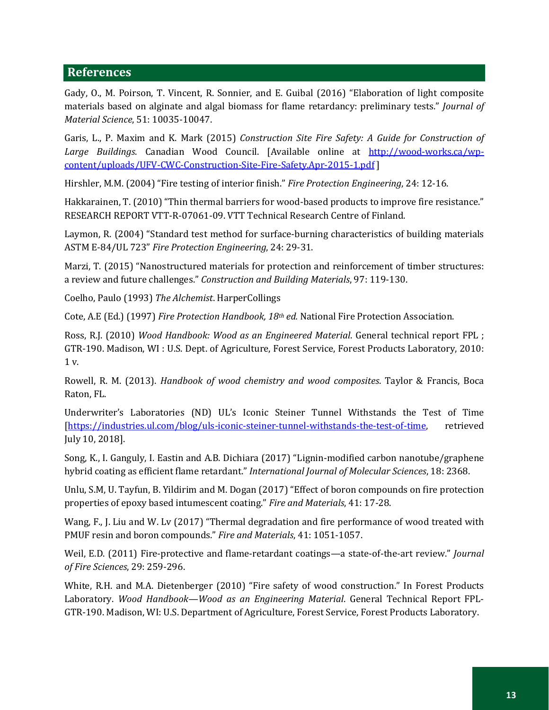### **References**

Gady, O., M. Poirson, T. Vincent, R. Sonnier, and E. Guibal (2016) "Elaboration of light composite materials based on alginate and algal biomass for flame retardancy: preliminary tests." *Journal of Material Science*, 51: 10035-10047.

Garis, L., P. Maxim and K. Mark (2015) *Construction Site Fire Safety: A Guide for Construction of Large Buildings*. Canadian Wood Council. [Available online at [http://wood-works.ca/wp](http://wood-works.ca/wp-content/uploads/UFV-CWC-Construction-Site-Fire-Safety.Apr-2015-1.pdf)[content/uploads/UFV-CWC-Construction-Site-Fire-Safety.Apr-2015-1.pdf](http://wood-works.ca/wp-content/uploads/UFV-CWC-Construction-Site-Fire-Safety.Apr-2015-1.pdf) ]

Hirshler, M.M. (2004) "Fire testing of interior finish." *Fire Protection Engineering*, 24: 12-16.

Hakkarainen, T. (2010) "Thin thermal barriers for wood-based products to improve fire resistance." RESEARCH REPORT VTT-R-07061-09. VTT Technical Research Centre of Finland.

Laymon, R. (2004) "Standard test method for surface-burning characteristics of building materials ASTM E-84/UL 723" *Fire Protection Engineering*, 24: 29-31.

Marzi, T. (2015) "Nanostructured materials for protection and reinforcement of timber structures: a review and future challenges." *Construction and Building Materials*, 97: 119-130.

Coelho, Paulo (1993) *The Alchemist*. HarperCollings

Cote, A.E (Ed.) (1997) *Fire Protection Handbook, 18th ed.* National Fire Protection Association.

Ross, R.J. (2010) *Wood Handbook: Wood as an Engineered Material*. General technical report FPL ; GTR-190. Madison, WI : U.S. Dept. of Agriculture, Forest Service, Forest Products Laboratory, 2010: 1 v.

Rowell, R. M. (2013). *Handbook of wood chemistry and wood composites*. Taylor & Francis, Boca Raton, FL.

Underwriter's Laboratories (ND) UL's Iconic Steiner Tunnel Withstands the Test of Time [\[https://industries.ul.com/blog/uls-iconic-steiner-tunnel-withstands-the-test-of-time,](https://industries.ul.com/blog/uls-iconic-steiner-tunnel-withstands-the-test-of-time) retrieved July 10, 2018].

Song, K., I. Ganguly, I. Eastin and A.B. Dichiara (2017) "Lignin-modified carbon nanotube/graphene hybrid coating as efficient flame retardant." *International Journal of Molecular Sciences*, 18: 2368.

Unlu, S.M, U. Tayfun, B. Yildirim and M. Dogan (2017) "Effect of boron compounds on fire protection properties of epoxy based intumescent coating." *Fire and Materials*, 41: 17-28.

Wang, F., J. Liu and W. Lv (2017) "Thermal degradation and fire performance of wood treated with PMUF resin and boron compounds." *Fire and Materials*, 41: 1051-1057.

Weil, E.D. (2011) Fire-protective and flame-retardant coatings—a state-of-the-art review." *Journal of Fire Sciences*, 29: 259-296.

White, R.H. and M.A. Dietenberger (2010) "Fire safety of wood construction." In Forest Products Laboratory. *Wood Handbook—Wood as an Engineering Material*. General Technical Report FPL-GTR-190. Madison, WI: U.S. Department of Agriculture, Forest Service, Forest Products Laboratory.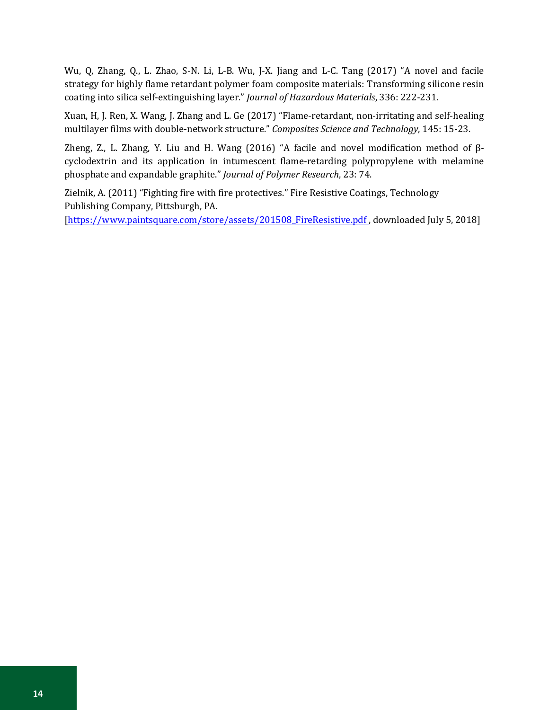Wu, Q, Zhang, Q., L. Zhao, S-N. Li, L-B. Wu, J-X. Jiang and L-C. Tang (2017) "A novel and facile strategy for highly flame retardant polymer foam composite materials: Transforming silicone resin coating into silica self-extinguishing layer." *Journal of Hazardous Materials*, 336: 222-231.

Xuan, H, J. Ren, X. Wang, J. Zhang and L. Ge (2017) "Flame-retardant, non-irritating and self-healing multilayer films with double-network structure." *Composites Science and Technology*, 145: 15-23.

Zheng, Z., L. Zhang, Y. Liu and H. Wang (2016) "A facile and novel modification method of βcyclodextrin and its application in intumescent flame-retarding polypropylene with melamine phosphate and expandable graphite." *Journal of Polymer Research*, 23: 74.

Zielnik, A. (2011) "Fighting fire with fire protectives." Fire Resistive Coatings, Technology Publishing Company, Pittsburgh, PA. [https://www.paintsquare.com/store/assets/201508\_FireResistive.pdf, downloaded July 5, 2018]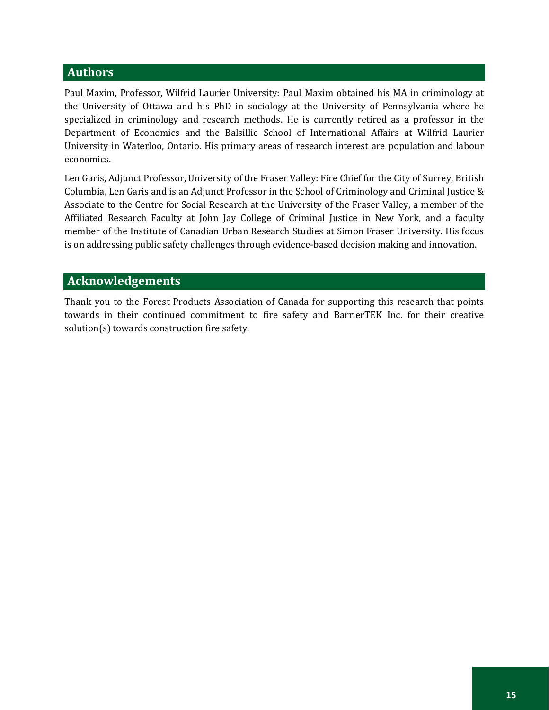## **Authors**

Paul Maxim, Professor, Wilfrid Laurier University: Paul Maxim obtained his MA in criminology at the University of Ottawa and his PhD in sociology at the University of Pennsylvania where he specialized in criminology and research methods. He is currently retired as a professor in the Department of Economics and the Balsillie School of International Affairs at Wilfrid Laurier University in Waterloo, Ontario. His primary areas of research interest are population and labour economics.

Len Garis, Adjunct Professor, University of the Fraser Valley: Fire Chief for the City of Surrey, British Columbia, Len Garis and is an Adjunct Professor in the School of Criminology and Criminal Justice & Associate to the Centre for Social Research at the University of the Fraser Valley, a member of the Affiliated Research Faculty at John Jay College of Criminal Justice in New York, and a faculty member of the Institute of Canadian Urban Research Studies at Simon Fraser University. His focus is on addressing public safety challenges through evidence-based decision making and innovation.

## **Acknowledgements**

Thank you to the Forest Products Association of Canada for supporting this research that points towards in their continued commitment to fire safety and BarrierTEK Inc. for their creative solution(s) towards construction fire safety.